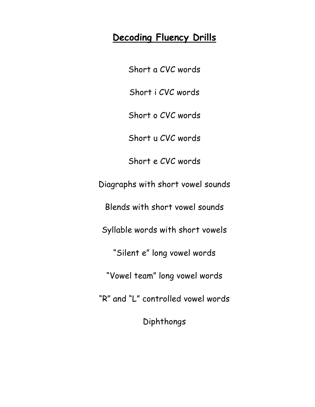#### **Decoding Fluency Drills**

Short a CVC words Short i CVC words Short o CVC words Short u CVC words Short e CVC words Diagraphs with short vowel sounds Blends with short vowel sounds Syllable words with short vowels "Silent e" long vowel words "Vowel team" long vowel words "R" and "L" controlled vowel words Diphthongs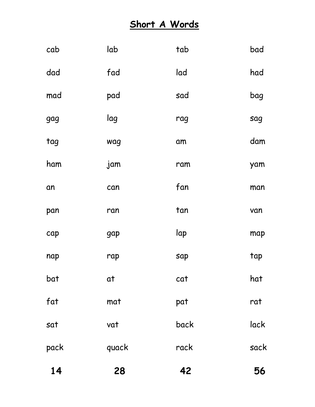# **Short A Words**

| 14   | 28    | 42   | 56   |
|------|-------|------|------|
| pack | quack | rack | sack |
| sat  | vat   | back | lack |
| fat  | mat   | pat  | rat  |
| bat  | at    | cat  | hat  |
| nap  | rap   | sap  | tap  |
| cap  | gap   | lap  | map  |
| pan  | ran   | tan  | van  |
| an   | can   | fan  | man  |
| ham  | jam   | ram  | yam  |
| tag  | wag   | am   | dam  |
| gag  | lag   | rag  | sag  |
| mad  | pad   | sad  | bag  |
| dad  | fad   | lad  | had  |
| cab  | lab   | tab  | bad  |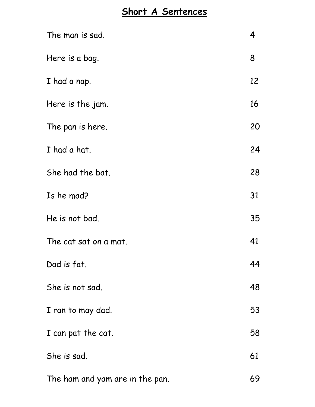#### **Short A Sentences**

| The man is sad.                 | 4  |
|---------------------------------|----|
| Here is a bag.                  | 8  |
| I had a nap.                    | 12 |
| Here is the jam.                | 16 |
| The pan is here.                | 20 |
| I had a hat.                    | 24 |
| She had the bat.                | 28 |
| Is he mad?                      | 31 |
| He is not bad.                  | 35 |
| The cat sat on a mat.           | 41 |
| Dad is fat.                     | 44 |
| She is not sad.                 | 48 |
| I ran to may dad.               | 53 |
| I can pat the cat.              | 58 |
| She is sad.                     | 61 |
| The ham and yam are in the pan. | 69 |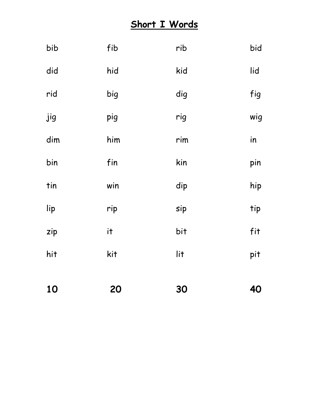#### **Short I Words**

| bib | fib | rib | bid |
|-----|-----|-----|-----|
| did | hid | kid | lid |
| rid | big | dig | fig |
| jig | pig | rig | wig |
| dim | him | rim | in  |
| bin | fin | kin | pin |
| tin | win | dip | hip |
| lip | rip | sip | tip |
| zip | i   | bit | fit |
| hit | kit | lit | pit |
|     |     |     |     |
| 10  | 20  | 30  | 40  |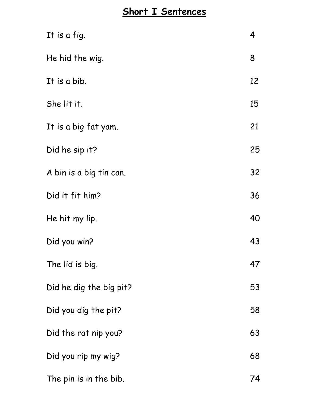### **Short I Sentences**

| It is a fig.            | 4  |
|-------------------------|----|
| He hid the wig.         | 8  |
| It is a bib.            | 12 |
| She lit it.             | 15 |
| It is a big fat yam.    | 21 |
| Did he sip it?          | 25 |
| A bin is a big tin can. | 32 |
| Did it fit him?         | 36 |
| He hit my lip.          | 40 |
| Did you win?            | 43 |
| The lid is big.         | 47 |
| Did he dig the big pit? | 53 |
| Did you dig the pit?    | 58 |
| Did the rat nip you?    | 63 |
| Did you rip my wig?     | 68 |
| The pin is in the bib.  | 74 |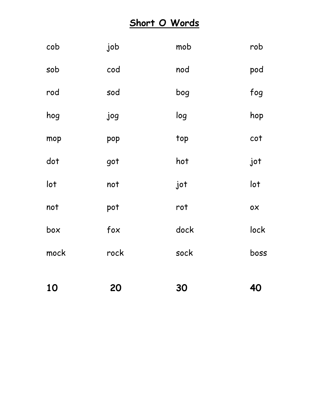#### **Short O Words**

| 10   | 20   | 30   | 40   |
|------|------|------|------|
| mock | rock | sock | boss |
| box  | fox  | dock | lock |
| not  | pot  | rot  | 0X   |
| lot  | not  | jot  | lot  |
| dot  | got  | hot  | jot  |
| mop  | pop  | top  | cot  |
| hog  | jog  | log  | hop  |
| rod  | sod  | bog  | fog  |
| sob  | cod  | nod  | pod  |
| cob  | job  | mob  | rob  |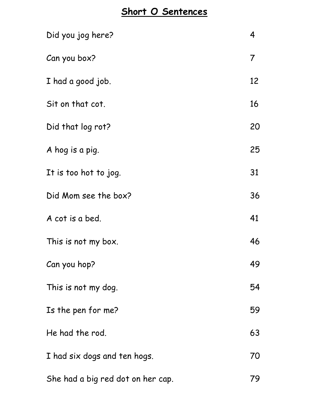#### **Short O Sentences**

| Did you jog here?                 | 4              |
|-----------------------------------|----------------|
| Can you box?                      | $\overline{7}$ |
| I had a good job.                 | 12             |
| Sit on that cot.                  | 16             |
| Did that log rot?                 | 20             |
| A hog is a pig.                   | 25             |
| It is too hot to jog.             | 31             |
| Did Mom see the box?              | 36             |
| A cot is a bed.                   | 41             |
| This is not my box.               | 46             |
| Can you hop?                      | 49             |
| This is not my dog.               | 54             |
| Is the pen for me?                | 59             |
| He had the rod.                   | 63             |
| I had six dogs and ten hogs.      | 70             |
| She had a big red dot on her cap. | 79             |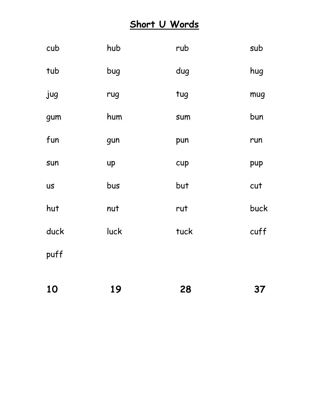#### **Short U Words**

| cub       | hub  | rub  | sub  |
|-----------|------|------|------|
| tub       | bug  | dug  | hug  |
| jug       | rug  | tug  | mug  |
| gum       | hum  | sum  | bun  |
| fun       | gun  | pun  | run  |
| sun       | up   | cup  | pup  |
| <b>US</b> | bus  | but  | cut  |
| hut       | nut  | rut  | buck |
| duck      | luck | tuck | cuff |
| puff      |      |      |      |
|           |      |      |      |

| 10 | 19 | 28 | 37 |
|----|----|----|----|
|    |    |    |    |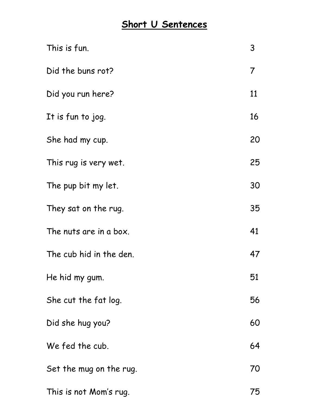#### **Short U Sentences**

| This is fun.            | 3              |
|-------------------------|----------------|
| Did the buns rot?       | $\overline{7}$ |
| Did you run here?       | 11             |
| It is fun to jog.       | 16             |
| She had my cup.         | 20             |
| This rug is very wet.   | 25             |
| The pup bit my let.     | 30             |
| They sat on the rug.    | 35             |
| The nuts are in a box.  | 41             |
| The cub hid in the den. | 47             |
| He hid my gum.          | 51             |
| She cut the fat log.    | 56             |
| Did she hug you?        | 60             |
| We fed the cub.         | 64             |
| Set the mug on the rug. | 70             |
| This is not Mom's rug.  | 75             |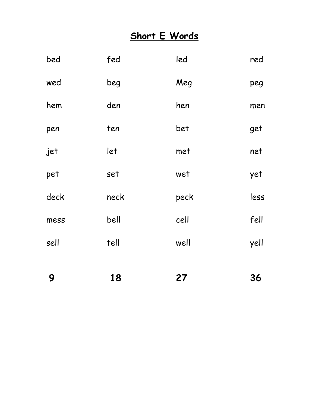#### **Short E Words**

| 9    | 18   | 27   | 36   |
|------|------|------|------|
| sell | tell | well | yell |
| mess | bell | cell | fell |
| deck | neck | peck | less |
| pet  | set  | wet  | yet  |
| jet  | let  | met  | net  |
| pen  | ten  | bet  | get  |
| hem  | den  | hen  | men  |
| wed  | beg  | Meg  | peg  |
| bed  | fed  | led  | red  |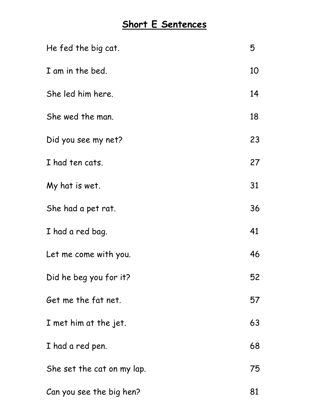#### **Short E Sentences**

| He fed the big cat.        | 5  |
|----------------------------|----|
| I am in the bed.           | 10 |
| She led him here.          | 14 |
| She wed the man.           | 18 |
| Did you see my net?        | 23 |
| I had ten cats.            | 27 |
| My hat is wet.             | 31 |
| She had a pet rat.         | 36 |
| I had a red bag.           | 41 |
| Let me come with you.      | 46 |
| Did he beg you for it?     | 52 |
| Get me the fat net.        | 57 |
| I met him at the jet.      | 63 |
| I had a red pen.           | 68 |
| She set the cat on my lap. | 75 |
| Can you see the big hen?   | 81 |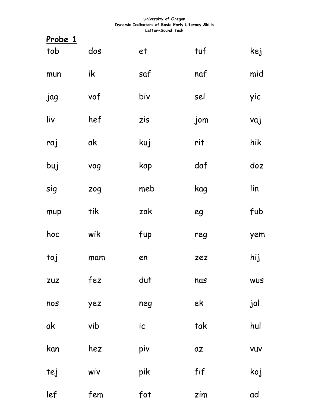| Probe 1    |     |     |            |            |
|------------|-----|-----|------------|------------|
| tob        | dos | et  | tuf        | kej        |
| mun        | ik  | saf | naf        | mid        |
| jag        | vof | biv | sel        | yic        |
| liv        | hef | zis | jom        | vaj        |
| raj        | ak  | kuj | rit        | hik        |
| buj        | vog | kap | daf        | doz        |
| sig        | zog | meb | kag        | lin        |
| mup        | tik | zok | eg         | fub        |
| hoc        | wik | fup | reg        | yem        |
| toj        | mam | en  | zez        | hij        |
| <b>ZUZ</b> | fez | dut | nas        | <b>WUS</b> |
| nos        | yez | neg | ek         | jal        |
| ak         | vib | ic  | tak        | hul        |
| kan        | hez | piv | $\alpha z$ | <b>VUV</b> |
| tej        | wiv | pik | fif        | koj        |
| lef        | fem | fot | zim        | ad         |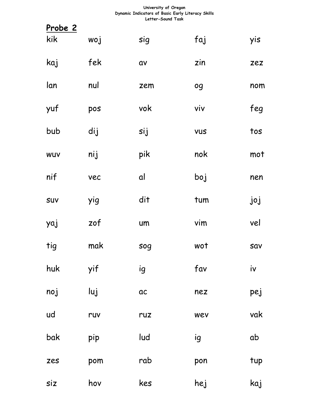| <u>Probe 2</u> |     |          |            |     |
|----------------|-----|----------|------------|-----|
| kik            | woj | sig      | faj        | yis |
| kaj            | fek | αv       | zin        | zez |
| lan            | nul | zem      | og         | nom |
| yuf            | pos | vok      | viv        | feg |
| bub            | dij | sij      | <b>VUS</b> | tos |
| WUV            | nij | pik      | nok        | mot |
| nif            | vec | al       | boj        | nen |
| SUV            | yig | dit      | tum        | joj |
| yaj            | zof | um       | vim        | vel |
| tig            | mak | sog      | wot        | sav |
| huk            | yif | ig       | fav        | iv  |
| noj            | luj | $\alpha$ | nez        | pej |
| ud             | ruv | ruz      | wev        | vak |
| bak            | pip | lud      | ig         | ab  |
| zes            | pom | rab      | pon        | tup |
| siz            | hov | kes      | hej        | kaj |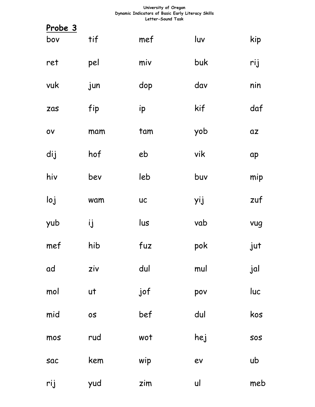| <u>Probe 3</u> |           |           |     |            |
|----------------|-----------|-----------|-----|------------|
| bov            | tif       | mef       | luv | kip        |
| ret            | pel       | miv       | buk | rij        |
| vuk            | jun       | dop       | dav | nin        |
| zas            | fip       | ip        | kif | daf        |
| $\mathsf{ov}$  | mam       | tam       | yob | $\alpha z$ |
| dij            | hof       | eb        | vik | ap         |
| hiv            | bev       | leb       | buv | mip        |
| loj            | wam       | <b>UC</b> | yij | zuf        |
| yub            | ij        | lus       | vab | vug        |
| mef            | hib       | fuz       | pok | jut        |
| ad             | ziv       | dul       | mul | jal        |
| mol            | ut        | jof       | pov | luc        |
| mid            | <b>OS</b> | bef       | dul | kos        |
| mos            | rud       | wot       | hej | SOS        |
| sac            | kem       | wip       | ev  | ub         |
| rij            | yud       | zim       | ul  | meb        |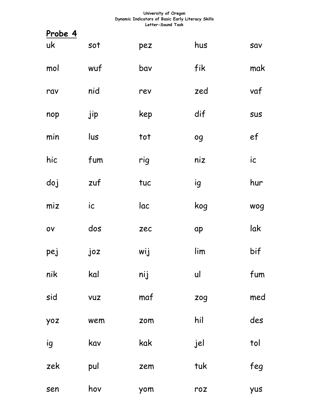| <u>Probe 4</u> |               |     |     |               |
|----------------|---------------|-----|-----|---------------|
| uk             | sot           | pez | hus | Sav           |
| mol            | wuf           | bav | fik | mak           |
| rav            | nid           | rev | zed | vaf           |
| nop            | jip           | kep | dif | SUS           |
| min            | lus           | tot | og  | ef            |
| hic            | fum           | rig | niz | $i\mathsf{c}$ |
| doj            | zuf           | tuc | ig  | hur           |
| miz            | $i\mathsf{c}$ | lac | kog | wog           |
| $\mathsf{ov}$  | dos           | zec | ap  | lak           |
| pej            | joz           | wij | lim | bif           |
| nik            | kal           | nij | ul  | fum           |
| sid            | <b>VUZ</b>    | maf | zog | med           |
| yoz            | wem           | zom | hil | des           |
| ig             | kav           | kak | jel | tol           |
| zek            | pul           | zem | tuk | feg           |
| sen            | hov           | yom | roz | yus           |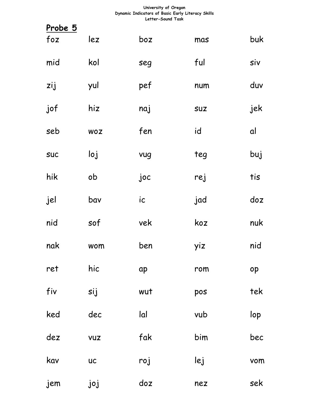| <u>Probe 5</u> |            |               |            |     |
|----------------|------------|---------------|------------|-----|
| foz            | lez        | boz           | mas        | buk |
| mid            | kol        | seg           | ful        | siv |
| zij            | yul        | pef           | num        | duv |
| jof            | hiz        | naj           | <b>SUZ</b> | jek |
| seb            | <b>WOZ</b> | fen           | id         | al  |
| <b>SUC</b>     | Ioj        | vug           | teg        | buj |
| hik            | ob         | joc           | rej        | tis |
| jel            | bav        | $i\mathsf{c}$ | jad        | doz |
| nid            | sof        | vek           | koz        | nuk |
| nak            | wom        | ben           | yiz        | nid |
| ret            | hic        | ap            | rom        | op  |
| fiv            | sij        | wut           | pos        | tek |
| ked            | dec        | lal           | vub        | lop |
| dez            | <b>VUZ</b> | fak           | bim        | bec |
| kav            | <b>UC</b>  | roj           | lej        | vom |
| jem            | joj        | doz           | nez        | sek |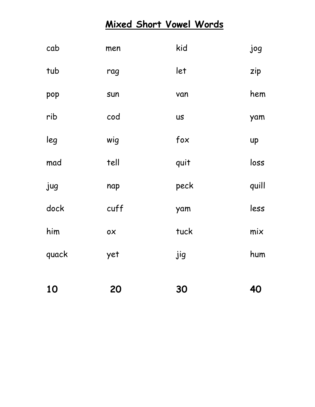#### **Mixed Short Vowel Words**

| 10    | 20   | 30        | 40    |
|-------|------|-----------|-------|
| quack | yet  | jig       | hum   |
| him   | 0X   | tuck      | mix   |
| dock  | cuff | yam       | less  |
| jug   | nap  | peck      | quill |
| mad   | tell | quit      | loss  |
| leg   | wig  | fox       | up    |
| rib   | cod  | <b>US</b> | yam   |
| pop   | sun  | van       | hem   |
| tub   | rag  | let       | zip   |
| cab   | men  | kid       | jog   |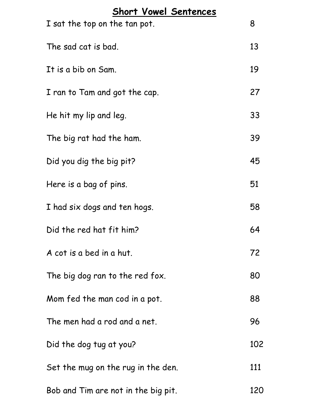| Short Vowel Sentences               |     |
|-------------------------------------|-----|
| I sat the top on the tan pot.       | 8   |
| The sad cat is bad.                 | 13  |
| It is a bib on Sam.                 | 19  |
| I ran to Tam and got the cap.       | 27  |
| He hit my lip and leg.              | 33  |
| The big rat had the ham.            | 39  |
| Did you dig the big pit?            | 45  |
| Here is a bag of pins.              | 51  |
| I had six dogs and ten hogs.        | 58  |
| Did the red hat fit him?            | 64  |
| A cot is a bed in a hut.            | 72  |
| The big dog ran to the red fox.     | 80  |
| Mom fed the man cod in a pot.       | 88  |
| The men had a rod and a net.        | 96  |
| Did the dog tug at you?             | 102 |
| Set the mug on the rug in the den.  | 111 |
| Bob and Tim are not in the big pit. | 120 |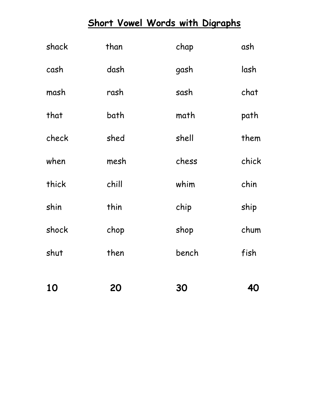# **Short Vowel Words with Digraphs**

| 10    | 20    | 30    | 40    |
|-------|-------|-------|-------|
| shut  | then  | bench | fish  |
| shock | chop  | shop  | chum  |
| shin  | thin  | chip  | ship  |
| thick | chill | whim  | chin  |
| when  | mesh  | chess | chick |
| check | shed  | shell | them  |
| that  | bath  | math  | path  |
| mash  | rash  | sash  | chat  |
| cash  | dash  | gash  | lash  |
| shack | than  | chap  | ash   |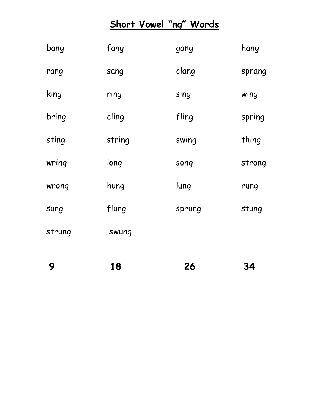#### **Short Vowel "ng " Words**

| 9      | 18     | 26     | <b>34</b> |
|--------|--------|--------|-----------|
| strung | swung  |        |           |
| sung   | flung  | sprung | stung     |
| wrong  | hung   | lung   | rung      |
| wring  | long   | song   | strong    |
| sting  | string | swing  | thing     |
| bring  | cling  | fling  | spring    |
| king   | ring   | sing   | wing      |
| rang   | sang   | clang  | sprang    |
| bang   | fang   | gang   | hang      |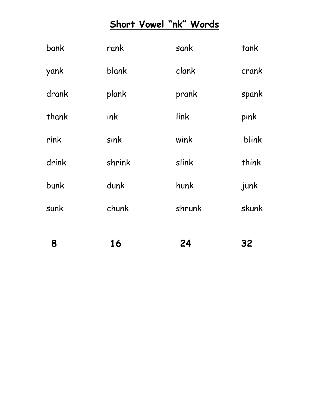# **Short Vowel "nk" Words**

| 8     | 16     | 24     | 32    |
|-------|--------|--------|-------|
| sunk  | chunk  | shrunk | skunk |
| bunk  | dunk   | hunk   | junk  |
| drink | shrink | slink  | think |
| rink  | sink   | wink   | blink |
| thank | ink    | link   | pink  |
| drank | plank  | prank  | spank |
| yank  | blank  | clank  | crank |
| bank  | rank   | sank   | tank  |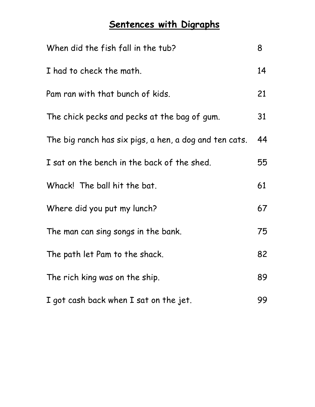# **Sentences with Digraphs**

| When did the fish fall in the tub?                     | 8  |
|--------------------------------------------------------|----|
| I had to check the math.                               | 14 |
| Pam ran with that bunch of kids.                       | 21 |
| The chick pecks and pecks at the bag of gum.           | 31 |
| The big ranch has six pigs, a hen, a dog and ten cats. | 44 |
| I sat on the bench in the back of the shed.            | 55 |
| Whack! The ball hit the bat.                           | 61 |
| Where did you put my lunch?                            | 67 |
| The man can sing songs in the bank.                    | 75 |
| The path let Pam to the shack.                         | 82 |
| The rich king was on the ship.                         | 89 |
| I got cash back when I sat on the jet.                 | 99 |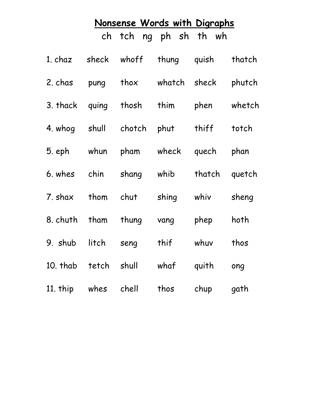# **Nonsense Words with Digraphs**

ch tch ng ph sh th wh

| 1. chaz              | sheck | whoff  | thung  | quish  | thatch |
|----------------------|-------|--------|--------|--------|--------|
| 2. chas              | pung  | thox   | whatch | sheck  | phutch |
| 3. thack             | quing | thosh  | thim   | phen   | whetch |
| 4. whog              | shull | chotch | phut   | thiff  | totch  |
| 5. eph               | whun  | pham   | wheck  | quech  | phan   |
| 6. whes              | chin  | shang  | whib   | thatch | quetch |
| 7. shax              | thom  | chut   | shing  | whiv   | sheng  |
| 8. chuth             | tham  | thung  | vang   | phep   | hoth   |
| 9. shub              | litch | seng   | thif   | whuv   | thos   |
| 10. thab tetch shull |       |        | whaf   | quith  | ong    |
| 11. thip whes        |       | chell  | thos   | chup   | gath   |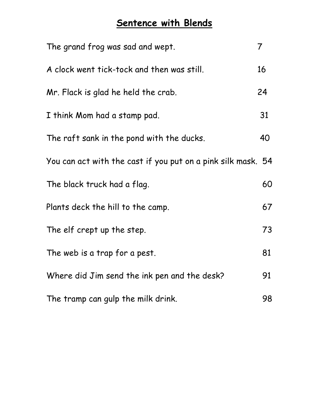#### **Sentence with Blends**

| The grand frog was sad and wept.                             | $\overline{7}$ |
|--------------------------------------------------------------|----------------|
| A clock went tick-tock and then was still.                   | 16             |
| Mr. Flack is glad he held the crab.                          | 24             |
| I think Mom had a stamp pad.                                 | 31             |
| The raft sank in the pond with the ducks.                    | 40             |
| You can act with the cast if you put on a pink silk mask. 54 |                |
| The black truck had a flag.                                  | 60             |
| Plants deck the hill to the camp.                            | 67             |
| The elf crept up the step.                                   | 73             |
| The web is a trap for a pest.                                | 81             |
| Where did Jim send the ink pen and the desk?                 | 91             |
| The tramp can gulp the milk drink.                           | 98             |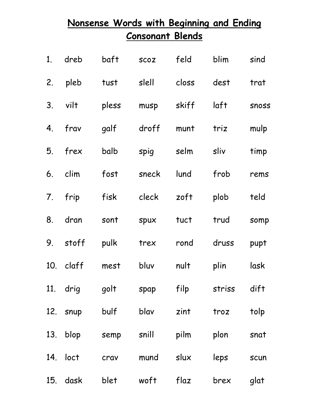| Nonsense Words with Beginning and Ending |              |      |                         |                                |        |       |
|------------------------------------------|--------------|------|-------------------------|--------------------------------|--------|-------|
|                                          |              |      | <b>Consonant Blends</b> |                                |        |       |
|                                          | 1. dreb baft |      |                         | scoz feld blim                 |        | sind  |
|                                          |              |      |                         | 2. pleb tust slell closs dest  |        | trat  |
|                                          |              |      |                         | 3. vilt  pless musp skiff laft |        | Snoss |
|                                          |              |      |                         | 4. frav galf droff munt triz   |        | mulp  |
|                                          |              |      |                         | 5. frex balb spig selm sliv    |        | timp  |
|                                          |              |      |                         | 6. clim fost sneck lund frob   |        | rems  |
|                                          |              |      |                         | 7. frip  fisk  cleck  zoft     | plob   | teld  |
|                                          |              |      |                         | 8. dran sont spux tuct trud    |        | somp  |
|                                          |              |      |                         | 9. stoff pulk trex rond druss  |        | pupt  |
|                                          | 10. claff    | mest | bluv                    | nult                           | plin   | lask  |
|                                          | 11. drig     | golt | spap                    | filp                           | striss | dift  |
|                                          | 12. snup     | bulf | blav                    | zint                           | troz   | tolp  |
|                                          | 13. blop     | semp | snill pilm              |                                | plon   | snat  |
|                                          | 14. loct     | crav | mund                    | slux                           | leps   | scun  |
|                                          | 15. dask     | blet | woft                    | flaz                           | brex   | glat  |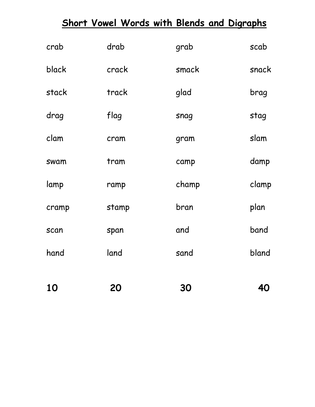|             |       | <b>Short Vowel Words with Blends and Digraphs</b> |       |
|-------------|-------|---------------------------------------------------|-------|
| crab        | drab  | grab                                              | scab  |
| black       | crack | smack                                             | snack |
| stack       | track | glad                                              | brag  |
| drag        | flag  | snag                                              | stag  |
| clam        | cram  | gram                                              | slam  |
| swam        | tram  | camp                                              | damp  |
| lamp        | ramp  | champ                                             | clamp |
| cramp       | stamp | bran                                              | plan  |
| <b>Scan</b> | span  | and                                               | band  |
| hand        | land  | sand                                              | bland |
|             |       |                                                   |       |
| 10          | 20    | 30                                                | 40    |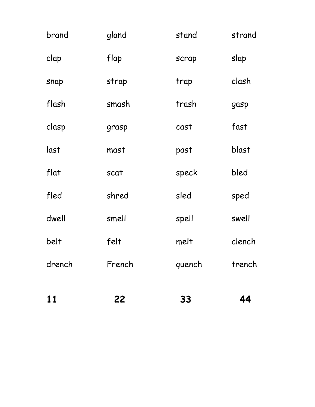| 11     | 22            | 33     | 44     |
|--------|---------------|--------|--------|
| drench | French        | quench | trench |
| belt   | felt          | melt   | clench |
| dwell  | smell         | spell  | swell  |
| fled   | shred         | sled   | sped   |
| flat   | scat          | speck  | bled   |
| last   | mast          | past   | blast  |
| clasp  | cast<br>grasp |        | fast   |
| flash  | smash         | trash  | gasp   |
| snap   | strap         | trap   | clash  |
| clap   | flap          | scrap  | slap   |
| brand  | gland         | stand  | strand |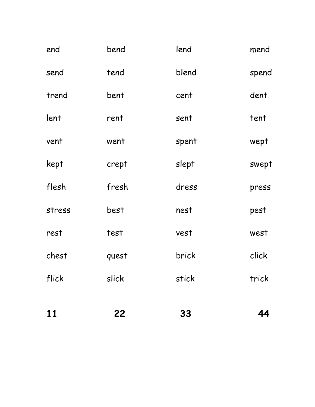| 11     | 22    | 33    | 44    |
|--------|-------|-------|-------|
| flick  | slick | stick | trick |
| chest  | quest | brick | click |
| rest   | test  | vest  | west  |
| stress | best  | nest  | pest  |
| flesh  | fresh | dress | press |
| kept   | crept | slept | swept |
| vent   | went  | spent | wept  |
| lent   | rent  | sent  | tent  |
| trend  | bent  | cent  | dent  |
| send   | tend  | blend | spend |
| end    | bend  | lend  | mend  |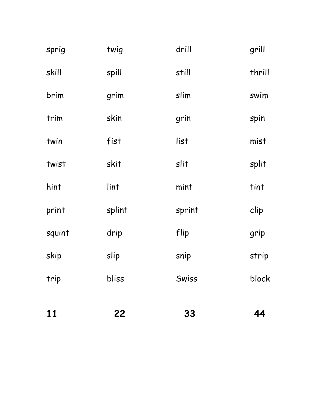| 11     | 22     | 33     | 44     |
|--------|--------|--------|--------|
| trip   | bliss  | Swiss  | block  |
| skip   | slip   | snip   | strip  |
| squint | drip   | flip   | grip   |
| print  | splint | sprint | clip   |
| hint   | lint   | mint   | tint   |
| twist  | skit   | slit   | split  |
| twin   | fist   | list   | mist   |
| trim   | skin   | grin   | spin   |
| brim   | grim   | slim   | swim   |
| skill  | spill  | still  | thrill |
| sprig  | twig   | drill  | grill  |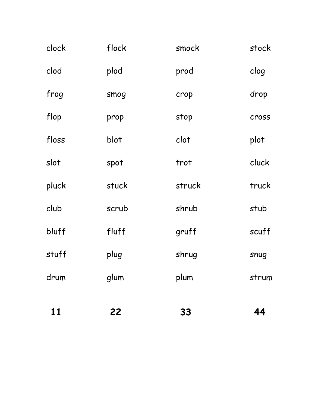| 11    | 22    | 33     | 44    |
|-------|-------|--------|-------|
| drum  | glum  | plum   | strum |
| stuff | plug  | shrug  | snug  |
| bluff | fluff | gruff  | scuff |
| club  | scrub | shrub  | stub  |
| pluck | stuck | struck | truck |
| slot  | spot  | trot   | cluck |
| floss | blot  | clot   | plot  |
| flop  | prop  | stop   | cross |
| frog  | smog  | crop   | drop  |
| clod  | plod  | prod   | clog  |
| clock | flock | smock  | stock |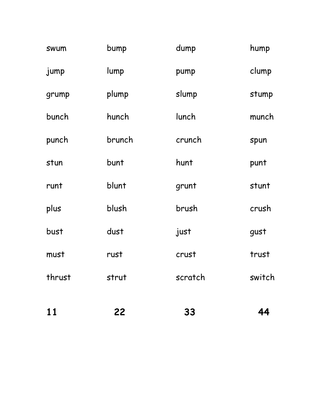| 11          | 22     | 33      | 44     |
|-------------|--------|---------|--------|
| thrust      | strut  | scratch | switch |
| must        | rust   | crust   | trust  |
| bust        | dust   | just    | gust   |
| plus        | blush  | brush   | crush  |
| runt        | blunt  | grunt   | stunt  |
| stun        | bunt   | hunt    | punt   |
| punch       | brunch | crunch  | spun   |
| bunch       | hunch  | lunch   | munch  |
| grump       | plump  | slump   | stump  |
| jump        | lump   | pump    | clump  |
| <b>SWUM</b> | bump   | dump    | hump   |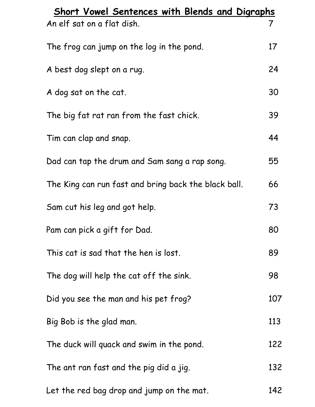| <b>Short Vowel Sentences with Blends and Digraphs</b> |     |  |  |
|-------------------------------------------------------|-----|--|--|
| An elf sat on a flat dish.                            | 7   |  |  |
| The frog can jump on the log in the pond.             | 17  |  |  |
| A best dog slept on a rug.                            | 24  |  |  |
| A dog sat on the cat.                                 | 30  |  |  |
| The big fat rat ran from the fast chick.              | 39  |  |  |
| Tim can clap and snap.                                | 44  |  |  |
| Dad can tap the drum and Sam sang a rap song.         | 55  |  |  |
| The King can run fast and bring back the black ball.  | 66  |  |  |
| Sam cut his leg and got help.                         | 73  |  |  |
| Pam can pick a gift for Dad.                          | 80  |  |  |
| This cat is sad that the hen is lost.                 | 89  |  |  |
| The dog will help the cat off the sink.               | 98  |  |  |
| Did you see the man and his pet frog?                 | 107 |  |  |
| Big Bob is the glad man.                              | 113 |  |  |
| The duck will quack and swim in the pond.             | 122 |  |  |
| The ant ran fast and the pig did a jig.               | 132 |  |  |
| Let the red bag drop and jump on the mat.             | 142 |  |  |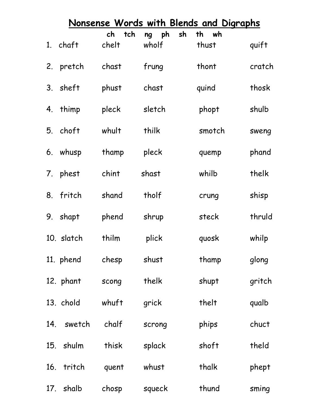|             | Nonsense Words with Blends and Digraphs |           |                |          |        |  |  |
|-------------|-----------------------------------------|-----------|----------------|----------|--------|--|--|
|             |                                         | tch<br>ch | ph<br>sh<br>ng | th<br>wh |        |  |  |
|             | 1. chaft                                | chelt     | wholf          | thust    | quift  |  |  |
| 2.          | pretch                                  | chast     | frung          | thont    | cratch |  |  |
| $3_{\cdot}$ | sheft                                   | phust     | chast          | quind    | thosk  |  |  |
| 4.          | thimp                                   | pleck     | sletch         | phopt    | shulb  |  |  |
| 5.          | choft                                   | whult     | thilk          | smotch   | sweng  |  |  |
| 6.          | whusp                                   | thamp     | pleck          | quemp    | phand  |  |  |
| 7.          | phest                                   | chint     | shast          | whilb    | thelk  |  |  |
| 8.          | fritch                                  | shand     | tholf          | crung    | shisp  |  |  |
| 9.          | shapt                                   | phend     | shrup          | steck    | thruld |  |  |
|             | 10. slatch                              | thilm     | plick          | quosk    | whilp  |  |  |
|             | 11. phend                               | chesp     | shust          | thamp    | glong  |  |  |
|             | 12. phant                               | scong     | thelk          | shupt    | gritch |  |  |
|             | 13. chold                               | whuft     | grick          | thelt    | qualb  |  |  |
|             | 14. swetch                              | chalf     | scrong         | phips    | chuct  |  |  |
|             | 15. shulm                               | thisk     | splack         | shoft    | theld  |  |  |
|             | 16. tritch                              | quent     | whust          | thalk    | phept  |  |  |
|             | 17. shalb                               | chosp     | squeck         | thund    | sming  |  |  |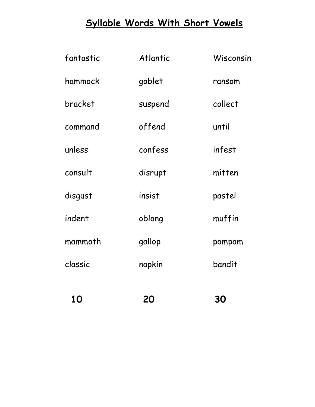# **Syllable Words With Short Vowels**

| 10        | 20       | <b>30</b> |
|-----------|----------|-----------|
| classic   | napkin   | bandit    |
| mammoth   | gallop   | pompom    |
| indent    | oblong   | muffin    |
| disgust   | insist   | pastel    |
| consult   | disrupt  | mitten    |
| unless    | confess  | infest    |
| command   | offend   | until     |
| bracket   | suspend  | collect   |
| hammock   | goblet   | ransom    |
| fantastic | Atlantic | Wisconsin |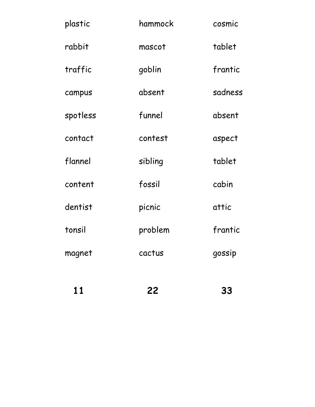| 11       | 22      | 33      |
|----------|---------|---------|
| magnet   | cactus  | gossip  |
| tonsil   | problem | frantic |
| dentist  | picnic  | attic   |
| content  | fossil  | cabin   |
| flannel  | sibling | tablet  |
| contact  | contest | aspect  |
| spotless | funnel  | absent  |
| campus   | absent  | sadness |
| traffic  | goblin  | frantic |
| rabbit   | mascot  | tablet  |
| plastic  | hammock | cosmic  |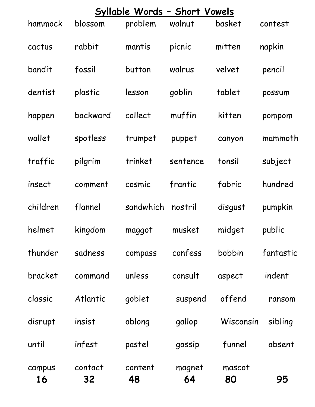| Syllable Words - Short Vowels |               |               |              |              |           |
|-------------------------------|---------------|---------------|--------------|--------------|-----------|
| hammock                       | blossom       | problem       | walnut       | basket       | contest   |
| cactus                        | rabbit        | mantis        | picnic       | mitten       | napkin    |
| bandit                        | fossil        | button        | walrus       | velvet       | pencil    |
| dentist                       | plastic       | lesson        | goblin       | tablet       | possum    |
| happen                        | backward      | collect       | muffin       | kitten       | pompom    |
| wallet                        | spotless      | trumpet       | puppet       | canyon       | mammoth   |
| traffic                       | pilgrim       | trinket       | sentence     | tonsil       | subject   |
| insect                        | comment       | cosmic        | frantic      | fabric       | hundred   |
| children                      | flannel       | sandwhich     | nostril      | disgust      | pumpkin   |
| helmet                        | kingdom       | maggot        | musket       | midget       | public    |
| thunder                       | sadness       | compass       | confess      | bobbin       | fantastic |
| bracket                       | command       | unless        | consult      | aspect       | indent    |
| classic                       | Atlantic      | goblet        | suspend      | offend       | ransom    |
| disrupt                       | insist        | oblong        | gallop       | Wisconsin    | sibling   |
| until                         | infest        | pastel        | gossip       | funnel       | absent    |
| campus<br>16                  | contact<br>32 | content<br>48 | magnet<br>64 | mascot<br>80 | 95        |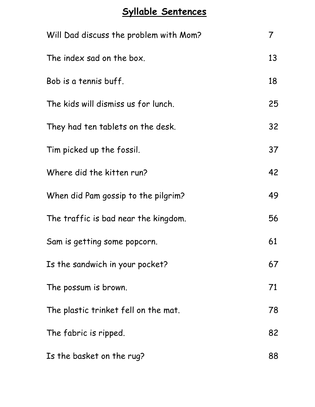#### **Syllable Sentences**

| Will Dad discuss the problem with Mom? | 7  |
|----------------------------------------|----|
| The index sad on the box.              | 13 |
| Bob is a tennis buff.                  | 18 |
| The kids will dismiss us for lunch.    | 25 |
| They had ten tablets on the desk.      | 32 |
| Tim picked up the fossil.              | 37 |
| Where did the kitten run?              | 42 |
| When did Pam gossip to the pilgrim?    | 49 |
| The traffic is bad near the kingdom.   | 56 |
| Sam is getting some popcorn.           | 61 |
| Is the sandwich in your pocket?        | 67 |
| The possum is brown.                   | 71 |
| The plastic trinket fell on the mat.   | 78 |
| The fabric is ripped.                  | 82 |
| Is the basket on the rug?              | 88 |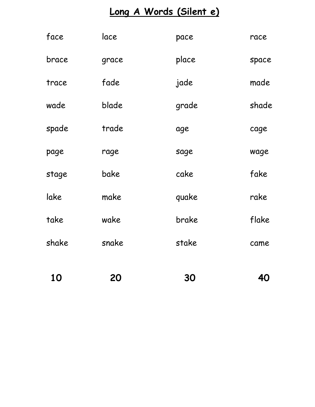# **Long A Words (Silent e)**

| 10    | 20    | 30    | 40    |
|-------|-------|-------|-------|
| shake | snake | stake | came  |
| take  | wake  | brake | flake |
| lake  | make  | quake | rake  |
| stage | bake  | cake  | fake  |
| page  | rage  | sage  | wage  |
| spade | trade | age   | cage  |
| wade  | blade | grade | shade |
| trace | fade  | jade  | made  |
| brace | grace | place | space |
| face  | lace  | pace  | race  |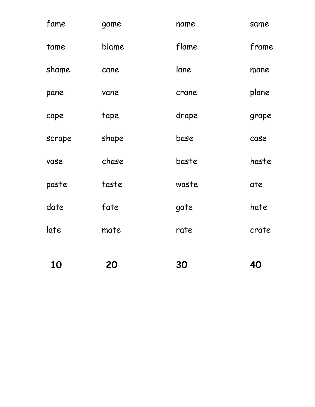| 10     | 20    | 30    | 40    |
|--------|-------|-------|-------|
| late   | mate  | rate  | crate |
| date   | fate  | gate  | hate  |
| paste  | taste | waste | ate   |
| vase   | chase | baste | haste |
| scrape | shape | base  | case  |
| cape   | tape  | drape | grape |
| pane   | vane  | crane | plane |
| shame  | cane  | lane  | mane  |
| tame   | blame | flame | frame |
| fame   | game  | name  | same  |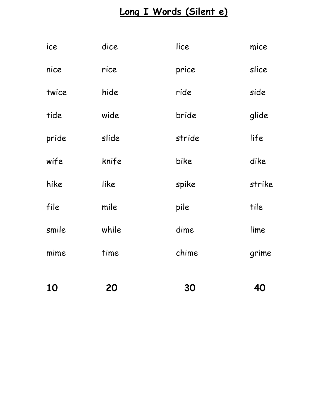# **Long I Words (Silent e)**

| 10    | 20    | 30     | 40     |
|-------|-------|--------|--------|
| mime  | time  | chime  | grime  |
| smile | while | dime   | lime   |
| file  | mile  | pile   | tile   |
| hike  | like  | spike  | strike |
| wife  | knife | bike   | dike   |
| pride | slide | stride | life   |
| tide  | wide  | bride  | glide  |
| twice | hide  | ride   | side   |
| nice  | rice  | price  | slice  |
| ice   | dice  | lice   | mice   |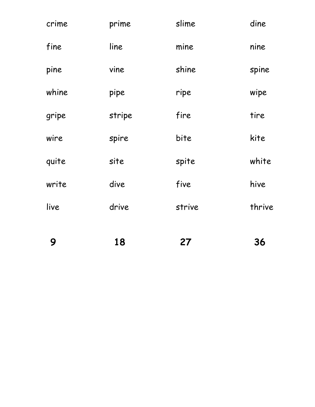| 9     | 18     | 27     | 36     |
|-------|--------|--------|--------|
| live  | drive  | strive | thrive |
| write | dive   | five   | hive   |
| quite | site   | spite  | white  |
| wire  | spire  | bite   | kite   |
| gripe | stripe | fire   | tire   |
| whine | pipe   | ripe   | wipe   |
| pine  | vine   | shine  | spine  |
| fine  | line   | mine   | nine   |
| crime | prime  | slime  | dine   |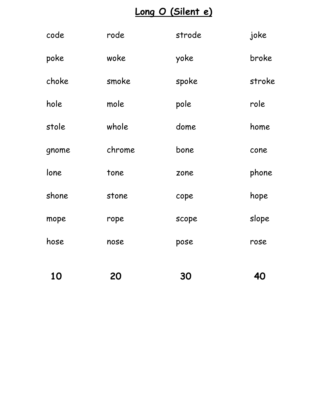# **Long O (Silent e)**

| code  | rode   | strode | joke   |
|-------|--------|--------|--------|
| poke  | woke   | yoke   | broke  |
| choke | smoke  | spoke  | stroke |
| hole  | mole   | pole   | role   |
| stole | whole  | dome   | home   |
| gnome | chrome | bone   | cone   |
| lone  | tone   | zone   | phone  |
| shone | stone  | cope   | hope   |
| mope  | rope   | scope  | slope  |
| hose  | nose   | pose   | rose   |
|       |        |        |        |
| 10    | 20     | 30     | 40     |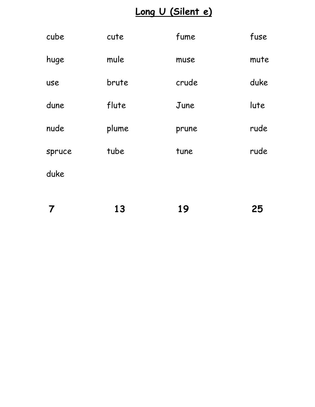# **Long U (Silent e)**

| cube   | cute  | fume  | fuse |
|--------|-------|-------|------|
| huge   | mule  | muse  | mute |
| use    | brute | crude | duke |
| dune   | flute | June  | lute |
| nude   | plume | prune | rude |
| spruce | tube  | tune  | rude |
| duke   |       |       |      |
|        |       |       |      |

| $\overline{7}$ | 13 | 19 | 25 |
|----------------|----|----|----|
|                |    |    |    |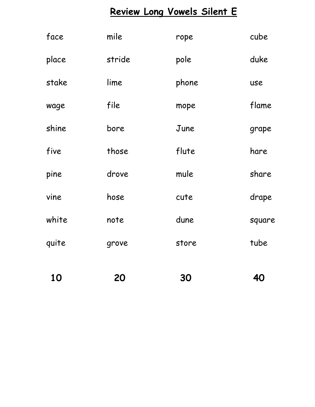# **Review Long Vowels Silent E**

| 10    | 20     | 30    | 40     |
|-------|--------|-------|--------|
| quite | grove  | store | tube   |
| white | note   | dune  | square |
| vine  | hose   | cute  | drape  |
| pine  | drove  | mule  | share  |
| five  | those  | flute | hare   |
| shine | bore   | June  | grape  |
| wage  | file   | mope  | flame  |
| stake | lime   | phone | use    |
| place | stride | pole  | duke   |
| face  | mile   | rope  | cube   |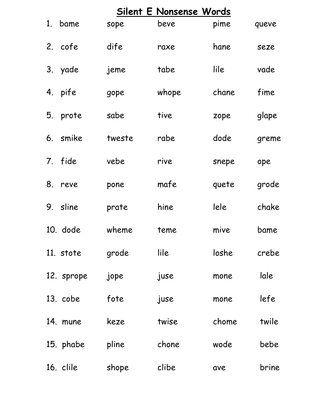| Silent E Nonsense Words |        |       |       |       |
|-------------------------|--------|-------|-------|-------|
| 1. bame                 | sope   | beve  | pime  | queve |
| 2. cofe                 | dife   | raxe  | hane  | seze  |
| 3. yade                 | jeme   | tabe  | lile  | vade  |
| 4. pife                 | gope   | whope | chane | fime  |
| 5. prote                | sabe   | tive  | zope  | glape |
| 6. smike                | tweste | rabe  | dode  | greme |
| 7. fide                 | vebe   | rive  | snepe | ope   |
| 8. reve                 | pone   | mafe  | quete | grode |
| 9. sline                | prate  | hine  | lele  | chake |
| 10. dode                | wheme  | teme  | mive  | bame  |
| 11. stote               | grode  | lile  | loshe | crebe |
| 12. sprope              | jope   | juse  | mone  | lale  |
| 13. cobe                | fote   | juse  | mone  | lefe  |
| 14. mune                | keze   | twise | chome | twile |
| 15. phabe               | pline  | chone | wode  | bebe  |
| 16. clile               | shope  | clibe | ave   | brine |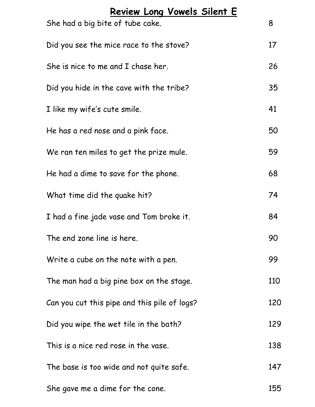| Review Long Vowels Silent E<br>She had a big bite of tube cake. | 8   |
|-----------------------------------------------------------------|-----|
| Did you see the mice race to the stove?                         | 17  |
| She is nice to me and I chase her.                              | 26  |
| Did you hide in the cave with the tribe?                        | 35  |
| I like my wife's cute smile.                                    | 41  |
| He has a red nose and a pink face.                              | 50  |
| We ran ten miles to get the prize mule.                         | 59  |
| He had a dime to save for the phone.                            | 68  |
| What time did the quake hit?                                    | 74  |
| I had a fine jade vase and Tom broke it.                        | 84  |
| The end zone line is here.                                      | 90  |
| Write a cube on the note with a pen.                            | 99  |
| The man had a big pine box on the stage.                        | 110 |
| Can you cut this pipe and this pile of logs?                    | 120 |
| Did you wipe the wet tile in the bath?                          | 129 |
| This is a nice red rose in the vase.                            | 138 |
| The base is too wide and not quite safe.                        | 147 |
| She gave me a dime for the cone.                                | 155 |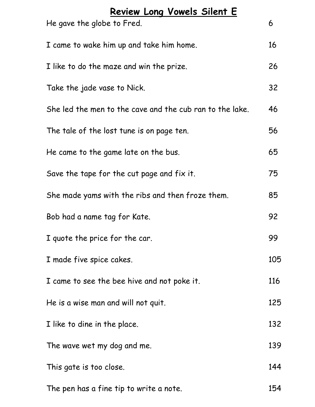| Review Long Vowels Silent E<br>He gave the globe to Fred. | 6   |
|-----------------------------------------------------------|-----|
| I came to wake him up and take him home.                  | 16  |
| I like to do the maze and win the prize.                  | 26  |
| Take the jade vase to Nick.                               | 32  |
| She led the men to the cave and the cub ran to the lake.  | 46  |
| The tale of the lost tune is on page ten.                 | 56  |
| He came to the game late on the bus.                      | 65  |
| Save the tape for the cut page and fix it.                | 75  |
| She made yams with the ribs and then froze them.          | 85  |
| Bob had a name tag for Kate.                              | 92  |
| I quote the price for the car.                            | 99  |
| I made five spice cakes.                                  | 105 |
| I came to see the bee hive and not poke it.               | 116 |
| He is a wise man and will not quit.                       | 125 |
| I like to dine in the place.                              | 132 |
| The wave wet my dog and me.                               | 139 |
| This gate is too close.                                   | 144 |
| The pen has a fine tip to write a note.                   | 154 |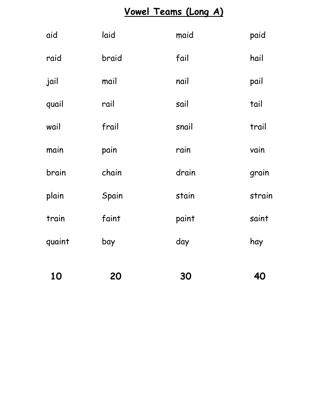# **Vowel Teams (Long A)**

| 10     | 20    | 30    | 40     |
|--------|-------|-------|--------|
| quaint | bay   | day   | hay    |
| train  | faint | paint | saint  |
| plain  | Spain | stain | strain |
| brain  | chain | drain | grain  |
| main   | pain  | rain  | vain   |
| wail   | frail | snail | trail  |
| quail  | rail  | sail  | tail   |
| jail   | mail  | nail  | pail   |
| raid   | braid | fail  | hail   |
| aid    | laid  | maid  | paid   |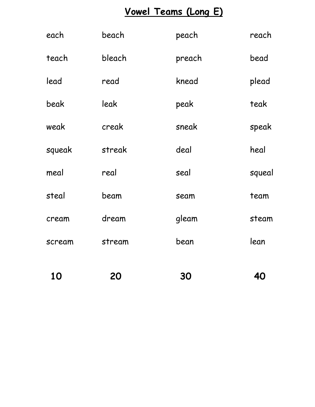# **Vowel Teams (Long E)**

| 10     | 20     | 30     | 40     |
|--------|--------|--------|--------|
| scream | stream | bean   | lean   |
| cream  | dream  | gleam  | steam  |
| steal  | beam   | seam   | team   |
| meal   | real   | seal   | squeal |
| squeak | streak | deal   | heal   |
| weak   | creak  | sneak  | speak  |
| beak   | leak   | peak   | teak   |
| lead   | read   | knead  | plead  |
| teach  | bleach | preach | bead   |
| each   | beach  | peach  | reach  |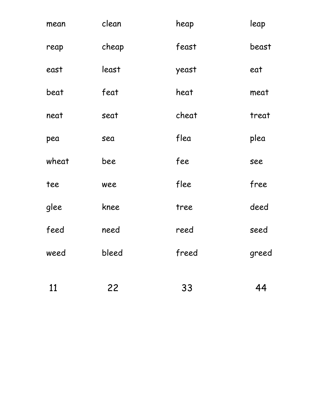| mean  | clean | heap  | leap  |
|-------|-------|-------|-------|
| reap  | cheap | feast | beast |
| east  | least | yeast | eat   |
| beat  | feat  | heat  | meat  |
| neat  | seat  | cheat | treat |
| pea   | sea   | flea  | plea  |
| wheat | bee   | fee   | see   |
| tee   | wee   | flee  | free  |
| glee  | knee  | tree  | deed  |
| feed  | need  | reed  | seed  |
| weed  | bleed | freed | greed |
| 11    | 22    | 33    | 44    |
|       |       |       |       |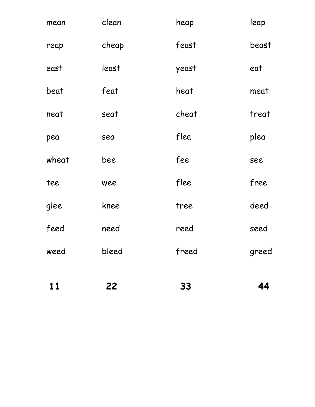| 11    | 22    | 33    | 44    |
|-------|-------|-------|-------|
| weed  | bleed | freed | greed |
| feed  | need  | reed  | seed  |
| glee  | knee  | tree  | deed  |
| tee   | wee   | flee  | free  |
| wheat | bee   | fee   | see   |
| pea   | sea   | flea  | plea  |
| neat  | seat  | cheat | treat |
| beat  | feat  | heat  | meat  |
| east  | least | yeast | eat   |
| reap  | cheap | feast | beast |
| mean  | clean | heap  | leap  |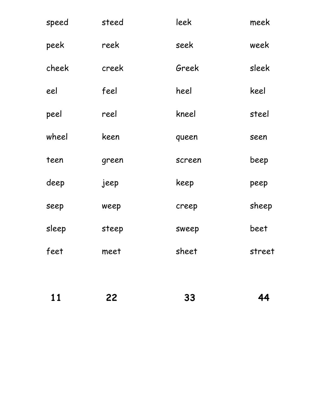| speed | steed | leek   | meek   |
|-------|-------|--------|--------|
| peek  | reek  | seek   | week   |
| cheek | creek | Greek  | sleek  |
| eel   | feel  | heel   | keel   |
| peel  | reel  | kneel  | steel  |
| wheel | keen  | queen  | seen   |
| teen  | green | screen | beep   |
| deep  | jeep  | keep   | peep   |
| seep  | weep  | creep  | sheep  |
| sleep | steep | sweep  | beet   |
| feet  | meet  | sheet  | street |
|       |       |        |        |

| <b>11</b> | 22 | 33 | 44 |
|-----------|----|----|----|
|           |    |    |    |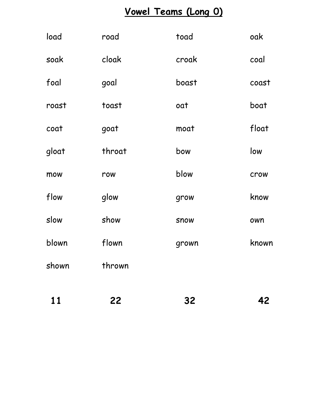# **Vowel Teams (Long 0)**

| 11    | 22     | 32          | 42    |
|-------|--------|-------------|-------|
| shown | thrown |             |       |
| blown | flown  | grown       | known |
| slow  | show   | <b>SNOW</b> | own   |
| flow  | glow   | grow        | know  |
| mow   | row    | blow        | crow  |
| gloat | throat | bow         | low   |
| coat  | goat   | moat        | float |
| roast | toast  | oat         | boat  |
| foal  | goal   | boast       | coast |
| soak  | cloak  | croak       | coal  |
| load  | road   | toad        | oak   |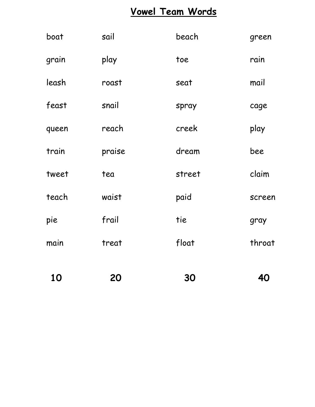### **Vowel Team Words**

| 10    | 20     | 30     | 40     |
|-------|--------|--------|--------|
| main  | treat  | float  | throat |
| pie   | frail  | tie    | gray   |
| teach | waist  | paid   | screen |
| tweet | tea    | street | claim  |
| train | praise | dream  | bee    |
| queen | reach  | creek  | play   |
| feast | snail  | spray  | cage   |
| leash | roast  | seat   | mail   |
| grain | play   | toe    | rain   |
| boat  | sail   | beach  | green  |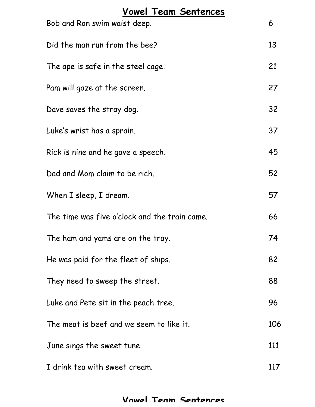| <b>Vowel Team Sentences</b><br>Bob and Ron swim waist deep. | 6   |
|-------------------------------------------------------------|-----|
|                                                             | 13  |
| Did the man run from the bee?                               |     |
| The ape is safe in the steel cage.                          | 21  |
| Pam will gaze at the screen.                                | 27  |
| Dave saves the stray dog.                                   | 32  |
| Luke's wrist has a sprain.                                  | 37  |
| Rick is nine and he gave a speech.                          | 45  |
| Dad and Mom claim to be rich.                               | 52  |
| When I sleep, I dream.                                      | 57  |
| The time was five o'clock and the train came.               | 66  |
| The ham and yams are on the tray.                           | 74  |
| He was paid for the fleet of ships.                         | 82  |
| They need to sweep the street.                              | 88  |
| Luke and Pete sit in the peach tree.                        | 96  |
| The meat is beef and we seem to like it.                    | 106 |
| June sings the sweet tune.                                  | 111 |
| I drink tea with sweet cream.                               | 117 |

#### **Vowel Team Sentences**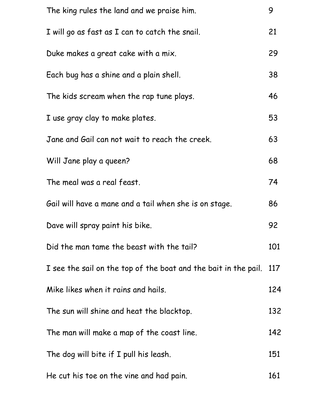| The king rules the land and we praise him.                      | 9   |
|-----------------------------------------------------------------|-----|
| I will go as fast as I can to catch the snail.                  | 21  |
| Duke makes a great cake with a mix.                             | 29  |
| Each bug has a shine and a plain shell.                         | 38  |
| The kids scream when the rap tune plays.                        | 46  |
| I use gray clay to make plates.                                 | 53  |
| Jane and Gail can not wait to reach the creek.                  | 63  |
| Will Jane play a queen?                                         | 68  |
| The meal was a real feast.                                      | 74  |
| Gail will have a mane and a tail when she is on stage.          | 86  |
| Dave will spray paint his bike.                                 | 92  |
| Did the man tame the beast with the tail?                       | 101 |
| I see the sail on the top of the boat and the bait in the pail. | 117 |
| Mike likes when it rains and hails.                             | 124 |
| The sun will shine and heat the blacktop.                       | 132 |
| The man will make a map of the coast line.                      | 142 |
| The dog will bite if I pull his leash.                          | 151 |
| He cut his toe on the vine and had pain.                        | 161 |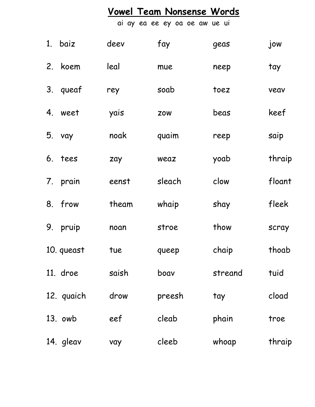# **Vowel Team Nonsense Words**

ai ay ea ee ey oa oe aw ue ui

|    | 1. baiz    | deev  | fay        | geas    | jow    |
|----|------------|-------|------------|---------|--------|
| 2. | koem       | leal  | mue        | neep    | tay    |
|    | 3. queaf   | rey   | soab       | toez    | veav   |
|    | 4. weet    | yais  | <b>ZOW</b> | beas    | keef   |
|    | 5. vay     | noak  | quaim      | reep    | saip   |
|    | 6. tees    | zay   | weaz       | yoab    | thraip |
|    | 7. prain   | eenst | sleach     | clow    | floant |
|    | 8. frow    | theam | whaip      | shay    | fleek  |
| 9. | pruip      | noan  | stroe      | thow    | scray  |
|    | 10. queast | tue   | queep      | chaip   | thoab  |
|    | 11. droe   | saish | boav       | streand | tuid   |
|    | 12. quaich | drow  | preesh     | tay     | cload  |
|    | 13. owb    | eef   | cleab      | phain   | troe   |
|    | 14. gleav  | vay   | cleeb      | whoap   | thraip |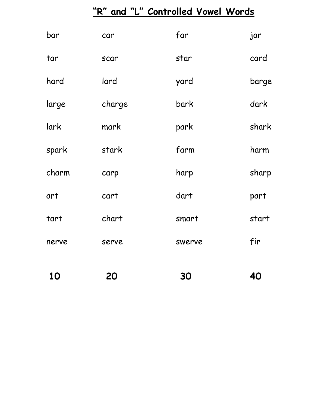# **"R" and "L" Controlled Vowel Words**

| 10    | 20     | 30     | 40    |
|-------|--------|--------|-------|
| nerve | serve  | swerve | fir   |
| tart  | chart  | smart  | start |
| art   | cart   | dart   | part  |
| charm | carp   | harp   | sharp |
| spark | stark  | farm   | harm  |
| lark  | mark   | park   | shark |
| large | charge | bark   | dark  |
| hard  | lard   | yard   | barge |
| tar   | scar   | star   | card  |
| bar   | car    | far    | jar   |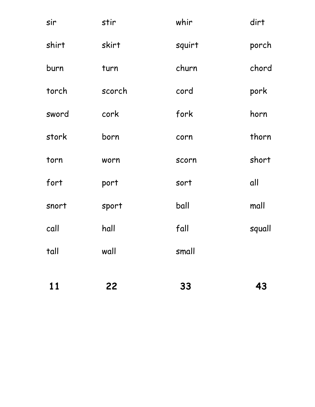| 11    | 22     | 33           | 43     |
|-------|--------|--------------|--------|
| tall  | wall   | small        |        |
| call  | hall   | fall         | squall |
| snort | sport  | ball         | mall   |
| fort  | port   | sort         | all    |
| torn  | worn   | <b>SCOLU</b> | short  |
| stork | born   | corn         | thorn  |
| sword | cork   | fork         | horn   |
| torch | scorch | cord         | pork   |
| burn  | turn   | churn        | chord  |
| shirt | skirt  | squirt       | porch  |
| sir   | stir   | whir         | dirt   |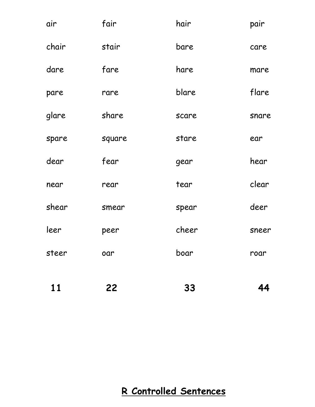| 11    | 22     | 33    | 44    |
|-------|--------|-------|-------|
| steer | oar    | boar  | roar  |
| leer  | peer   | cheer | sneer |
| shear | smear  | spear | deer  |
| near  | rear   | tear  | clear |
| dear  | fear   | gear  | hear  |
| spare | square | stare | ear   |
| glare | share  | scare | snare |
| pare  | rare   | blare | flare |
| dare  | fare   | hare  | mare  |
| chair | stair  | bare  | care  |
| air   | fair   | hair  | pair  |

#### **R Controlled Sentences**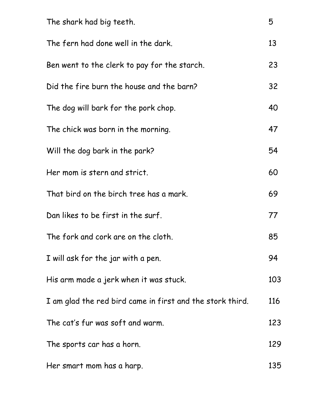| The shark had big teeth.                                  | 5   |
|-----------------------------------------------------------|-----|
| The fern had done well in the dark.                       | 13  |
| Ben went to the clerk to pay for the starch.              | 23  |
| Did the fire burn the house and the barn?                 | 32  |
| The dog will bark for the pork chop.                      | 40  |
| The chick was born in the morning.                        | 47  |
| Will the dog bark in the park?                            | 54  |
| Her mom is stern and strict.                              | 60  |
| That bird on the birch tree has a mark.                   | 69  |
| Dan likes to be first in the surf.                        | 77  |
| The fork and cork are on the cloth.                       | 85  |
| I will ask for the jar with a pen.                        | 94  |
| His arm made a jerk when it was stuck.                    | 103 |
| I am glad the red bird came in first and the stork third. | 116 |
| The cat's fur was soft and warm.                          | 123 |
| The sports car has a horn.                                | 129 |
| Her smart mom has a harp.                                 | 135 |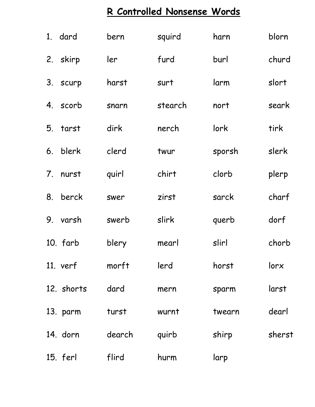# **R Controlled Nonsense Words**

|    | 1. dard    | bern   | squird  | harn   | blorn  |
|----|------------|--------|---------|--------|--------|
|    | 2. skirp   | ler    | furd    | burl   | churd  |
|    | 3. scurp   | harst  | surt    | larm   | slort  |
|    | 4. scorb   | snarn  | stearch | nort   | seark  |
| 5. | tarst      | dirk   | nerch   | lork   | tirk   |
| 6. | blerk      | clerd  | twur    | sporsh | slerk  |
| 7. | nurst      | quirl  | chirt   | clorb  | plerp  |
| 8. | berck      | swer   | zirst   | sarck  | charf  |
| 9. | varsh      | swerb  | slirk   | querb  | dorf   |
|    | 10. farb   | blery  | mearl   | slirl  | chorb  |
|    | $11.$ verf | morft  | lerd    | horst  | lorx   |
|    | 12. shorts | dard   | mern    | sparm  | larst  |
|    | 13. parm   | turst  | wurnt   | twearn | dearl  |
|    | 14. dorn   | dearch | quirb   | shirp  | sherst |
|    | 15. ferl   | flird  | hurm    | larp   |        |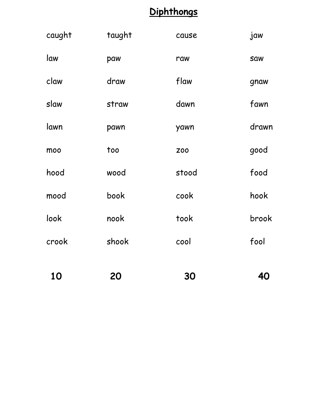### **Diphthongs**

| 10     | 20     | 30         | 40         |
|--------|--------|------------|------------|
| crook  | shook  | cool       | fool       |
| look   | nook   | took       | brook      |
| mood   | book   | cook       | hook       |
| hood   | wood   | stood      | food       |
| moo    | too    | <b>Z00</b> | good       |
| lawn   | pawn   | yawn       | drawn      |
| slaw   | straw  | dawn       | fawn       |
| claw   | draw   | flaw       | gnaw       |
| law    | paw    | raw        | <b>Saw</b> |
| caught | taught | cause      | jaw        |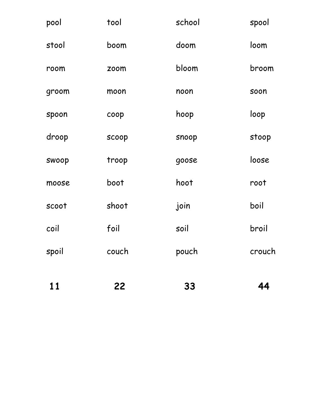| 11    | 22           | 33     | 44     |
|-------|--------------|--------|--------|
| spoil | couch        | pouch  | crouch |
| coil  | foil         | soil   | broil  |
| scoot | shoot        | join   | boil   |
| moose | boot         | hoot   | root   |
| swoop | troop        | goose  | loose  |
| droop | <b>SCOOP</b> | snoop  | stoop  |
| spoon | coop         | hoop   | loop   |
| groom | moon         | noon   | soon   |
| room  | zoom         | bloom  | broom  |
| stool | boom         | doom   | loom   |
| pool  | tool         | school | spool  |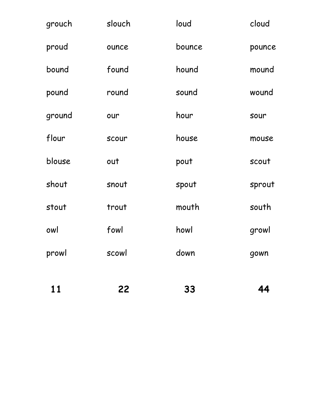| 11     | 22           | 33     | 44     |
|--------|--------------|--------|--------|
| prowl  | scowl        | down   | gown   |
| owl    | fowl         | howl   | growl  |
| stout  | trout        | mouth  | south  |
| shout  | snout        | spout  | sprout |
| blouse | out          | pout   | scout  |
| flour  | <b>SCOUP</b> | house  | mouse  |
| ground | our          | hour   | sour   |
| pound  | round        | sound  | wound  |
| bound  | found        | hound  | mound  |
| proud  | ounce        | bounce | pounce |
| grouch | slouch       | loud   | cloud  |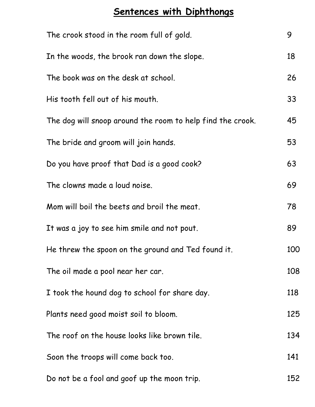### **Sentences with Diphthongs**

| The crook stood in the room full of gold.                  | 9   |
|------------------------------------------------------------|-----|
| In the woods, the brook ran down the slope.                | 18  |
| The book was on the desk at school.                        | 26  |
| His tooth fell out of his mouth.                           | 33  |
| The dog will snoop around the room to help find the crook. | 45  |
| The bride and groom will join hands.                       | 53  |
| Do you have proof that Dad is a good cook?                 | 63  |
| The clowns made a loud noise.                              | 69  |
| Mom will boil the beets and broil the meat.                | 78  |
| It was a joy to see him smile and not pout.                | 89  |
| He threw the spoon on the ground and Ted found it.         | 100 |
| The oil made a pool near her car.                          | 108 |
| I took the hound dog to school for share day.              | 118 |
| Plants need good moist soil to bloom.                      | 125 |
| The roof on the house looks like brown tile.               | 134 |
| Soon the troops will come back too.                        | 141 |
| Do not be a fool and goof up the moon trip.                | 152 |